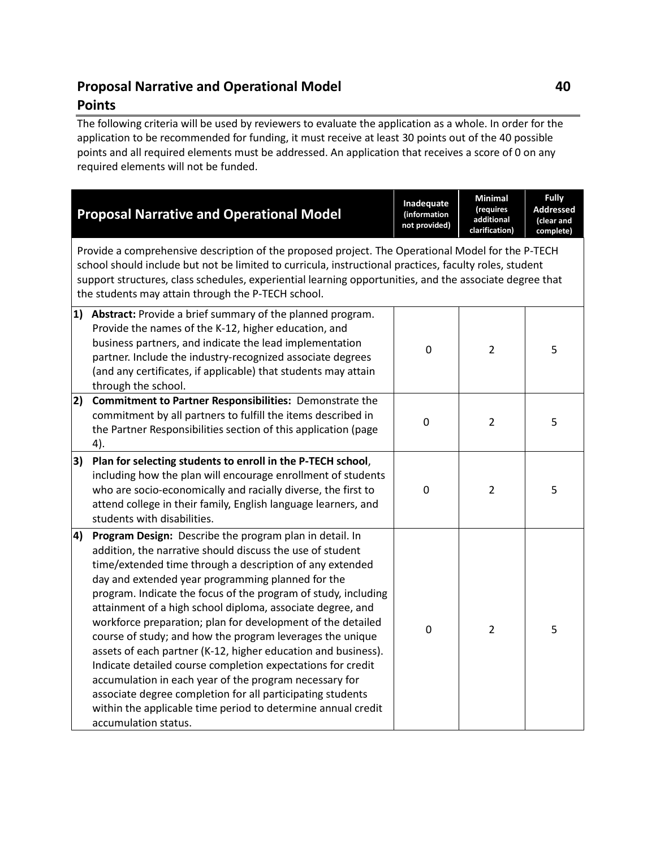## **Proposal Narrative and Operational Model 40 Points**

The following criteria will be used by reviewers to evaluate the application as a whole. In order for the application to be recommended for funding, it must receive at least 30 points out of the 40 possible points and all required elements must be addressed. An application that receives a score of 0 on any required elements will not be funded.

| <b>Proposal Narrative and Operational Model</b>                                                                                                                                                                                                                                                                                                                                                                                                                                                                                                                                                                                                                                                                                                                                                                                                         | Inadequate<br>(information<br>not provided) | <b>Minimal</b><br>(requires<br>additional<br>clarification) | <b>Fully</b><br><b>Addressed</b><br>(clear and<br>complete) |  |  |  |  |  |
|---------------------------------------------------------------------------------------------------------------------------------------------------------------------------------------------------------------------------------------------------------------------------------------------------------------------------------------------------------------------------------------------------------------------------------------------------------------------------------------------------------------------------------------------------------------------------------------------------------------------------------------------------------------------------------------------------------------------------------------------------------------------------------------------------------------------------------------------------------|---------------------------------------------|-------------------------------------------------------------|-------------------------------------------------------------|--|--|--|--|--|
| Provide a comprehensive description of the proposed project. The Operational Model for the P-TECH<br>school should include but not be limited to curricula, instructional practices, faculty roles, student<br>support structures, class schedules, experiential learning opportunities, and the associate degree that<br>the students may attain through the P-TECH school.                                                                                                                                                                                                                                                                                                                                                                                                                                                                            |                                             |                                                             |                                                             |  |  |  |  |  |
| 1) Abstract: Provide a brief summary of the planned program.<br>Provide the names of the K-12, higher education, and<br>business partners, and indicate the lead implementation<br>partner. Include the industry-recognized associate degrees<br>(and any certificates, if applicable) that students may attain<br>through the school.                                                                                                                                                                                                                                                                                                                                                                                                                                                                                                                  | 0                                           | $\overline{2}$                                              | 5                                                           |  |  |  |  |  |
| 2) Commitment to Partner Responsibilities: Demonstrate the<br>commitment by all partners to fulfill the items described in<br>the Partner Responsibilities section of this application (page<br>4).                                                                                                                                                                                                                                                                                                                                                                                                                                                                                                                                                                                                                                                     | 0                                           | $\overline{2}$                                              | 5                                                           |  |  |  |  |  |
| Plan for selecting students to enroll in the P-TECH school,<br>3)<br>including how the plan will encourage enrollment of students<br>who are socio-economically and racially diverse, the first to<br>attend college in their family, English language learners, and<br>students with disabilities.                                                                                                                                                                                                                                                                                                                                                                                                                                                                                                                                                     | 0                                           | $\overline{2}$                                              | 5                                                           |  |  |  |  |  |
| Program Design: Describe the program plan in detail. In<br>4)<br>addition, the narrative should discuss the use of student<br>time/extended time through a description of any extended<br>day and extended year programming planned for the<br>program. Indicate the focus of the program of study, including<br>attainment of a high school diploma, associate degree, and<br>workforce preparation; plan for development of the detailed<br>course of study; and how the program leverages the unique<br>assets of each partner (K-12, higher education and business).<br>Indicate detailed course completion expectations for credit<br>accumulation in each year of the program necessary for<br>associate degree completion for all participating students<br>within the applicable time period to determine annual credit<br>accumulation status. | $\mathbf 0$                                 | $\overline{2}$                                              | 5                                                           |  |  |  |  |  |